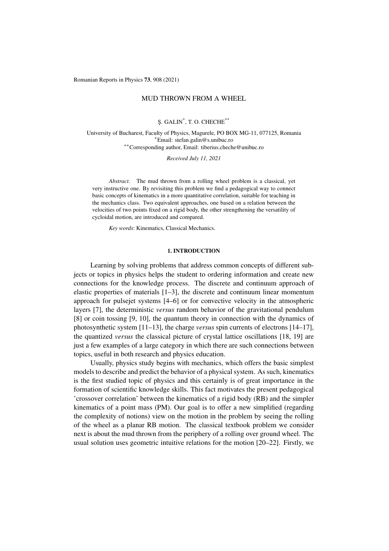Romanian Reports in Physics 73, 908 (2021)

# MUD THROWN FROM A WHEEL

S¸. GALIN\* , T. O. CHECHE\*\*

University of Bucharest, Faculty of Physics, Magurele, PO BOX MG-11, 077125, Romania <sup>∗</sup>Email: stefan.galin@s.unibuc.ro ∗∗Corresponding author, Email: tiberius.cheche@unibuc.ro

*Received July 11, 2021*

*Abstract.* The mud thrown from a rolling wheel problem is a classical, yet very instructive one. By revisiting this problem we find a pedagogical way to connect basic concepts of kinematics in a more quantitative correlation, suitable for teaching in the mechanics class. Two equivalent approaches, one based on a relation between the velocities of two points fixed on a rigid body, the other strengthening the versatility of cycloidal motion, are introduced and compared.

*Key words*: Kinematics, Classical Mechanics.

### 1. INTRODUCTION

Learning by solving problems that address common concepts of different subjects or topics in physics helps the student to ordering information and create new connections for the knowledge process. The discrete and continuum approach of elastic properties of materials [\[1](#page-6-0)[–3\]](#page-6-1), the discrete and continuum linear momentum approach for pulsejet systems [\[4](#page-6-2)[–6\]](#page-6-3) or for convective velocity in the atmospheric layers [\[7\]](#page-6-4), the deterministic *versus* random behavior of the gravitational pendulum [\[8\]](#page-6-5) or coin tossing [\[9,](#page-6-6) [10\]](#page-6-7), the quantum theory in connection with the dynamics of photosynthetic system [\[11](#page-6-8)[–13\]](#page-6-9), the charge *versus* spin currents of electrons [\[14–](#page-6-10)[17\]](#page-7-0), the quantized *versus* the classical picture of crystal lattice oscillations [\[18,](#page-7-1) [19\]](#page-7-2) are just a few examples of a large category in which there are such connections between topics, useful in both research and physics education.

Usually, physics study begins with mechanics, which offers the basic simplest models to describe and predict the behavior of a physical system. As such, kinematics is the first studied topic of physics and this certainly is of great importance in the formation of scientific knowledge skills. This fact motivates the present pedagogical 'crossover correlation' between the kinematics of a rigid body (RB) and the simpler kinematics of a point mass (PM). Our goal is to offer a new simplified (regarding the complexity of notions) view on the motion in the problem by seeing the rolling of the wheel as a planar RB motion. The classical textbook problem we consider next is about the mud thrown from the periphery of a rolling over ground wheel. The usual solution uses geometric intuitive relations for the motion [\[20–](#page-7-3)[22\]](#page-7-4). Firstly, we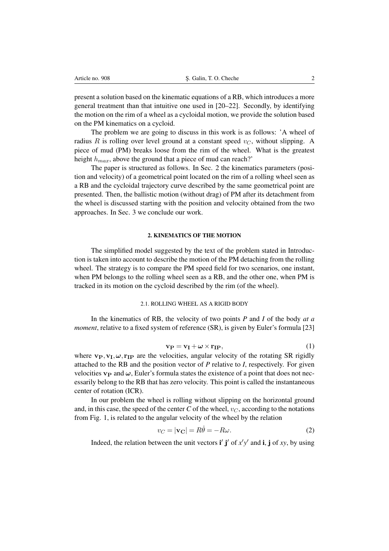present a solution based on the kinematic equations of a RB, which introduces a more general treatment than that intuitive one used in [\[20–](#page-7-3)[22\]](#page-7-4). Secondly, by identifying the motion on the rim of a wheel as a cycloidal motion, we provide the solution based on the PM kinematics on a cycloid.

The problem we are going to discuss in this work is as follows: 'A wheel of radius R is rolling over level ground at a constant speed  $v_C$ , without slipping. A piece of mud (PM) breaks loose from the rim of the wheel. What is the greatest height  $h_{max}$ , above the ground that a piece of mud can reach?'

The paper is structured as follows. In Sec. [2](#page-1-0) the kinematics parameters (position and velocity) of a geometrical point located on the rim of a rolling wheel seen as a RB and the cycloidal trajectory curve described by the same geometrical point are presented. Then, the ballistic motion (without drag) of PM after its detachment from the wheel is discussed starting with the position and velocity obtained from the two approaches. In Sec. [3](#page-6-11) we conclude our work.

# 2. KINEMATICS OF THE MOTION

<span id="page-1-0"></span>The simplified model suggested by the text of the problem stated in Introduction is taken into account to describe the motion of the PM detaching from the rolling wheel. The strategy is to compare the PM speed field for two scenarios, one instant, when PM belongs to the rolling wheel seen as a RB, and the other one, when PM is tracked in its motion on the cycloid described by the rim (of the wheel).

# 2.1. ROLLING WHEEL AS A RIGID BODY

<span id="page-1-2"></span>In the kinematics of RB, the velocity of two points *P* and *I* of the body *at a moment*, relative to a fixed system of reference (SR), is given by Euler's formula [\[23\]](#page-7-5)

$$
\mathbf{v}_{\mathbf{P}} = \mathbf{v}_{\mathbf{I}} + \boldsymbol{\omega} \times \mathbf{r}_{\mathbf{IP}},\tag{1}
$$

where  $\mathbf{v}_P, \mathbf{v}_I, \boldsymbol{\omega}, \mathbf{r}_{IP}$  are the velocities, angular velocity of the rotating SR rigidly attached to the RB and the position vector of *P* relative to *I*, respectively. For given velocities  $v_P$  and  $\omega$ , Euler's formula states the existence of a point that does not necessarily belong to the RB that has zero velocity. This point is called the instantaneous center of rotation (ICR).

In our problem the wheel is rolling without slipping on the horizontal ground and, in this case, the speed of the center *C* of the wheel,  $v_C$ , according to the notations from Fig. 1, is related to the angular velocity of the wheel by the relation

<span id="page-1-1"></span>
$$
v_C = |\mathbf{v_C}| = R\dot{\theta} = -R\omega.
$$
 (2)

Indeed, the relation between the unit vectors  $\mathbf{i}' \mathbf{j}'$  of  $x'y'$  and  $\mathbf{i}, \mathbf{j}$  of xy, by using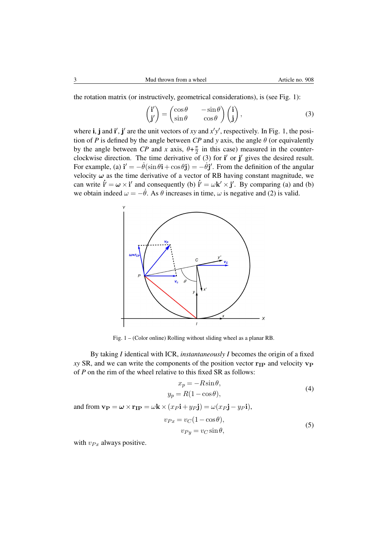the rotation matrix (or instructively, geometrical considerations), is (see Fig. [1\)](#page-2-0):

<span id="page-2-1"></span>
$$
\begin{pmatrix} \mathbf{i}' \\ \mathbf{j}' \end{pmatrix} = \begin{pmatrix} \cos \theta & -\sin \theta \\ \sin \theta & \cos \theta \end{pmatrix} \begin{pmatrix} \mathbf{i} \\ \mathbf{j} \end{pmatrix},
$$
(3)

where **i**, **j** and **i'**, **j'** are the unit vectors of *xy* and  $x'y'$ , respectively. In Fig. [1,](#page-2-0) the position of *P* is defined by the angle between *CP* and *y* axis, the angle  $\theta$  (or equivalently by the angle between *CP* and *x* axis,  $\theta + \frac{\pi}{2}$  $\frac{\pi}{2}$  in this case) measured in the counterclockwise direction. The time derivative of  $(3)$  for i' or j' gives the desired result. For example, (a)  $\mathbf{i}' = -\dot{\theta}(\sin \theta \mathbf{i} + \cos \theta \mathbf{j}) = -\dot{\theta} \mathbf{j}'$ . From the definition of the angular velocity  $\omega$  as the time derivative of a vector of RB having constant magnitude, we can write  $\mathbf{i}' = \boldsymbol{\omega} \times \mathbf{i}'$  and consequently (b)  $\mathbf{i}' = \boldsymbol{\omega} \mathbf{k}' \times \mathbf{j}'$ . By comparing (a) and (b) we obtain indeed  $\omega = -\dot{\theta}$ . As  $\theta$  increases in time,  $\omega$  is negative and [\(2\)](#page-1-1) is valid.



Fig. 1 – (Color online) Rolling without sliding wheel as a planar RB.

By taking *I* identical with ICR, *instantaneously I* becomes the origin of a fixed  $xy$  SR, and we can write the components of the position vector  $r_{IP}$  and velocity  $v_{P}$ of *P* on the rim of the wheel relative to this fixed SR as follows:

<span id="page-2-2"></span><span id="page-2-0"></span>
$$
x_p = -R\sin\theta,
$$
  
\n
$$
y_p = R(1 - \cos\theta),
$$
\n(4)

and from  $\mathbf{v}_P = \boldsymbol{\omega} \times \mathbf{r}_{IP} = \boldsymbol{\omega} \mathbf{k} \times (x_P \mathbf{i} + y_P \mathbf{j}) = \boldsymbol{\omega} (x_P \mathbf{j} - y_P \mathbf{i}),$ 

<span id="page-2-3"></span>
$$
v_{Px} = v_C(1 - \cos\theta),
$$
  
\n
$$
v_{Py} = v_C \sin\theta,
$$
\n(5)

with  $v_{Px}$  always positive.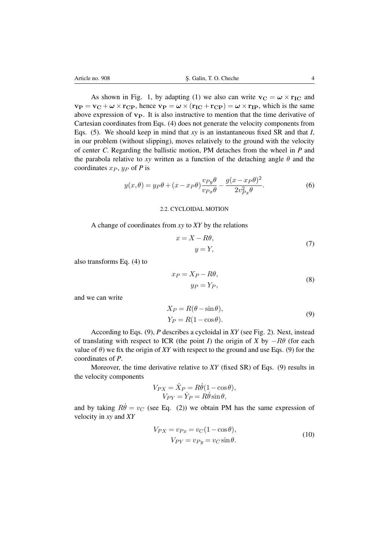As shown in Fig. [1,](#page-2-0) by adapting [\(1\)](#page-1-2) we also can write  $\mathbf{v_C} = \boldsymbol{\omega} \times \mathbf{r_{IC}}$  and  $v_P = v_C + \omega \times r_{CP}$ , hence  $v_P = \omega \times (r_{IC} + r_{CP}) = \omega \times r_{IP}$ , which is the same above expression of  $v_P$ . It is also instructive to mention that the time derivative of Cartesian coordinates from Eqs. [\(4\)](#page-2-2) does not generate the velocity components from Eqs. [\(5\)](#page-2-3). We should keep in mind that *xy* is an instantaneous fixed SR and that *I*, in our problem (without slipping), moves relatively to the ground with the velocity of center *C*. Regarding the ballistic motion, PM detaches from the wheel in *P* and the parabola relative to *xy* written as a function of the detaching angle  $\theta$  and the coordinates  $x_P$ ,  $y_P$  of *P* is

<span id="page-3-1"></span>
$$
y(x,\theta) = y_P \theta + (x - x_P \theta) \frac{v_{Py}\theta}{v_{Px}\theta} - \frac{g(x - x_P \theta)^2}{2v_{Px}^2 \theta}.
$$
 (6)

#### 2.2. CYCLOIDAL MOTION

A change of coordinates from *xy* to *XY* by the relations

<span id="page-3-2"></span>
$$
x = X - R\theta,
$$
  
\n
$$
y = Y,
$$
\n(7)

also transforms Eq. [\(4\)](#page-2-2) to

<span id="page-3-0"></span>
$$
x_P = X_P - R\theta,
$$
  
\n
$$
y_P = Y_P,
$$
\n(8)

and we can write

$$
X_P = R(\theta - \sin \theta),
$$
  
\n
$$
Y_P = R(1 - \cos \theta).
$$
\n(9)

According to Eqs. [\(9\)](#page-3-0), *P* describes a cycloidal in *XY* (see Fig. [2\)](#page-4-0). Next, instead of translating with respect to ICR (the point *I*) the origin of *X* by  $-R\theta$  (for each value of  $\theta$ ) we fix the origin of *XY* with respect to the ground and use Eqs. [\(9\)](#page-3-0) for the coordinates of *P*.

Moreover, the time derivative relative to *XY* (fixed SR) of Eqs. [\(9\)](#page-3-0) results in the velocity components

$$
V_{PX} = \dot{X}_P = R\dot{\theta}(1 - \cos\theta),
$$
  
\n
$$
V_{PY} = \dot{Y}_P = R\dot{\theta}\sin\theta,
$$

and by taking  $R\dot{\theta} = v_C$  (see Eq. [\(2\)](#page-1-1)) we obtain PM has the same expression of velocity in *xy* and *XY*

<span id="page-3-3"></span>
$$
V_{PX} = v_{Px} = v_C(1 - \cos\theta),
$$
  
\n
$$
V_{PY} = v_{Py} = v_C \sin\theta.
$$
\n(10)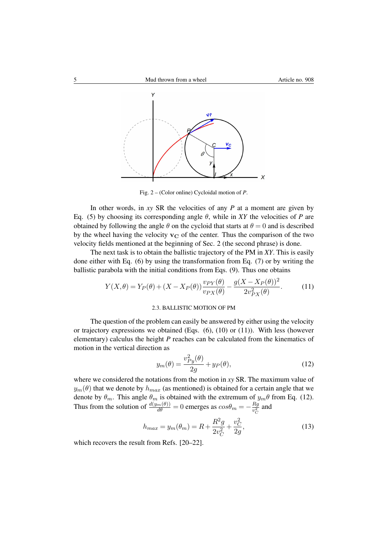

<span id="page-4-0"></span>Fig. 2 – (Color online) Cycloidal motion of *P*.

In other words, in *xy* SR the velocities of any *P* at a moment are given by Eq. [\(5\)](#page-2-3) by choosing its corresponding angle  $\theta$ , while in *XY* the velocities of *P* are obtained by following the angle  $\theta$  on the cycloid that starts at  $\theta = 0$  and is described by the wheel having the velocity  $v<sub>C</sub>$  of the center. Thus the comparison of the two velocity fields mentioned at the beginning of Sec. 2 (the second phrase) is done.

The next task is to obtain the ballistic trajectory of the PM in *XY*. This is easily done either with Eq. [\(6\)](#page-3-1) by using the transformation from Eq. [\(7\)](#page-3-2) or by writing the ballistic parabola with the initial conditions from Eqs. [\(9\)](#page-3-0). Thus one obtains

$$
Y(X,\theta) = Y_P(\theta) + (X - X_P(\theta)) \frac{v_{PY}(\theta)}{v_{PX}(\theta)} - \frac{g(X - X_P(\theta))^2}{2v_{PX}^2(\theta)}.
$$
 (11)

### <span id="page-4-1"></span>2.3. BALLISTIC MOTION OF PM

The question of the problem can easily be answered by either using the velocity or trajectory expressions we obtained (Eqs.  $(6)$ ,  $(10)$  or  $(11)$ ). With less (however elementary) calculus the height *P* reaches can be calculated from the kinematics of motion in the vertical direction as

<span id="page-4-2"></span>
$$
y_m(\theta) = \frac{v_{Py}^2(\theta)}{2g} + y_P(\theta),\tag{12}
$$

where we considered the notations from the motion in *xy* SR. The maximum value of  $y_m(\theta)$  that we denote by  $h_{max}$  (as mentioned) is obtained for a certain angle that we denote by  $\theta_m$ . This angle  $\theta_m$  is obtained with the extremum of  $y_m\theta$  from Eq. [\(12\)](#page-4-2). Thus from the solution of  $\frac{d(y_m(\theta))}{d\theta} = 0$  emerges as  $cos\theta_m = -\frac{R_g}{v_c^2}$  $rac{Rg}{v_C^2}$  and

$$
h_{max} = y_m(\theta_m) = R + \frac{R^2 g}{2v_C^2} + \frac{v_C^2}{2g},\tag{13}
$$

which recovers the result from Refs. [\[20–](#page-7-3)[22\]](#page-7-4).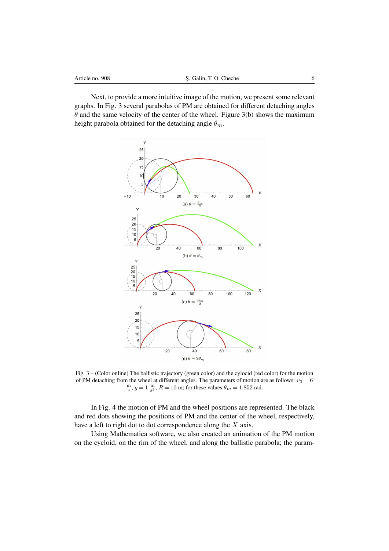Next, to provide a more intuitive image of the motion, we present some relevant graphs. In Fig. [3](#page-5-0) several parabolas of PM are obtained for different detaching angles  $\theta$  and the same velocity of the center of the wheel. Figure 3(b) shows the maximum height parabola obtained for the detaching angle  $\theta_m$ .



<span id="page-5-0"></span>Fig. 3 – (Color online) The ballistic trajectory (green color) and the cylocid (red color) for the motion of PM detaching from the wheel at different angles. The parameters of motion are as follows:  $v_0 = 6$  $\frac{m}{s}$ ,  $g = 1 \frac{m}{s^2}$ ,  $R = 10$  m; for these values  $\theta_m = 1.852$  rad.

In Fig. [4](#page-6-12) the motion of PM and the wheel positions are represented. The black and red dots showing the positions of PM and the center of the wheel, respectively, have a left to right dot to dot correspondence along the  $X$  axis.

Using Mathematica software, we also created an animation of the PM motion on the cycloid, on the rim of the wheel, and along the ballistic parabola; the param-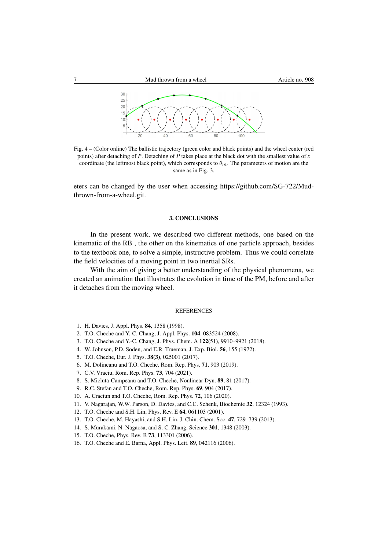

Fig. 4 – (Color online) The ballistic trajectory (green color and black points) and the wheel center (red points) after detaching of *P*. Detaching of *P* takes place at the black dot with the smallest value of *x* coordinate (the leftmost black point), which corresponds to  $\theta_m$ . The parameters of motion are the same as in Fig. [3.](#page-5-0)

eters can be changed by the user when accessing https://github.com/SG-722/Mudthrown-from-a-wheel.git.

### <span id="page-6-12"></span>3. CONCLUSIONS

<span id="page-6-11"></span>In the present work, we described two different methods, one based on the kinematic of the RB , the other on the kinematics of one particle approach, besides to the textbook one, to solve a simple, instructive problem. Thus we could correlate the field velocities of a moving point in two inertial SRs.

With the aim of giving a better understanding of the physical phenomena, we created an animation that illustrates the evolution in time of the PM, before and after it detaches from the moving wheel.

### **REFERENCES**

- <span id="page-6-0"></span>1. H. Davies, J. Appl. Phys. 84, 1358 (1998).
- 2. T.O. Cheche and Y.-C. Chang, J. Appl. Phys. 104, 083524 (2008).
- <span id="page-6-1"></span>3. T.O. Cheche and Y.-C. Chang, J. Phys. Chem. A 122(51), 9910–9921 (2018).
- <span id="page-6-2"></span>4. W. Johnson, P.D. Soden, and E.R. Trueman, J. Exp. Biol. 56, 155 (1972).
- 5. T.O. Cheche, Eur. J. Phys. 38(3), 025001 (2017).
- <span id="page-6-3"></span>6. M. Dolineanu and T.O. Cheche, Rom. Rep. Phys. 71, 903 (2019).
- <span id="page-6-4"></span>7. C.V. Vraciu, Rom. Rep. Phys. 73, 704 (2021).
- <span id="page-6-5"></span>8. S. Micluta-Campeanu and T.O. Cheche, Nonlinear Dyn. 89, 81 (2017).
- <span id="page-6-6"></span>9. R.C. Stefan and T.O. Cheche, Rom. Rep. Phys. 69, 904 (2017).
- <span id="page-6-7"></span>10. A. Craciun and T.O. Cheche, Rom. Rep. Phys. 72, 106 (2020).
- <span id="page-6-8"></span>11. V. Nagarajan, W.W. Parson, D. Davies, and C.C. Schenk, Biochemie 32, 12324 (1993).
- 12. T.O. Cheche and S.H. Lin, Phys. Rev. E 64, 061103 (2001).
- <span id="page-6-9"></span>13. T.O. Cheche, M. Hayashi, and S.H. Lin, J. Chin. Chem. Soc. 47, 729–739 (2013).
- <span id="page-6-10"></span>14. S. Murakami, N. Nagaosa, and S. C. Zhang, Science 301, 1348 (2003).
- 15. T.O. Cheche, Phys. Rev. B 73, 113301 (2006).
- 16. T.O. Cheche and E. Barna, Appl. Phys. Lett. 89, 042116 (2006).